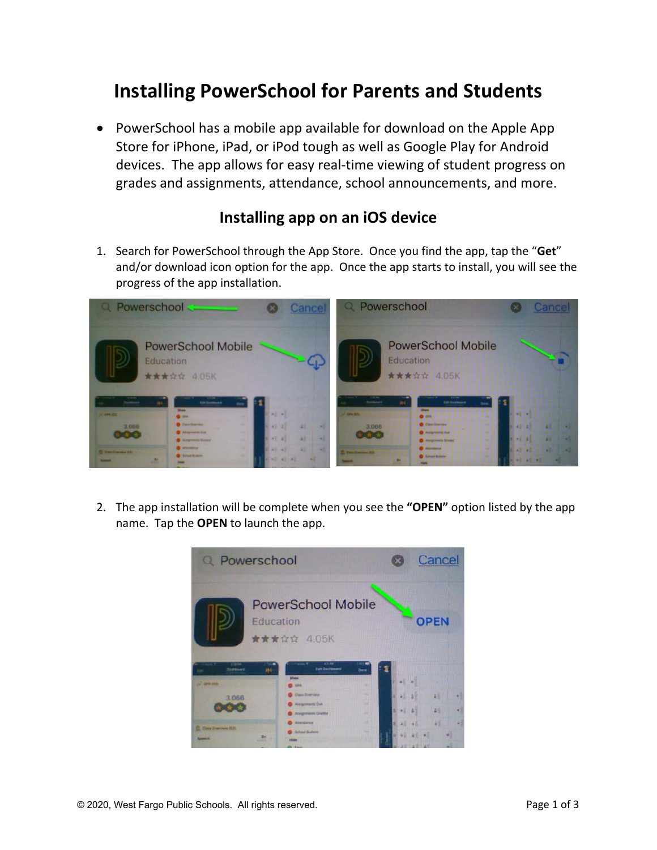## **Installing PowerSchool for Parents and Students**

 PowerSchool has a mobile app available for download on the Apple App Store for iPhone, iPad, or iPod tough as well as Google Play for Android devices. The app allows for easy real‐time viewing of student progress on grades and assignments, attendance, school announcements, and more.

## **Installing app on an iOS device**

1. Search for PowerSchool through the App Store. Once you find the app, tap the "**Get**" and/or download icon option for the app. Once the app starts to install, you will see the progress of the app installation.



2. The app installation will be complete when you see the **"OPEN"** option listed by the app name. Tap the **OPEN** to launch the app.

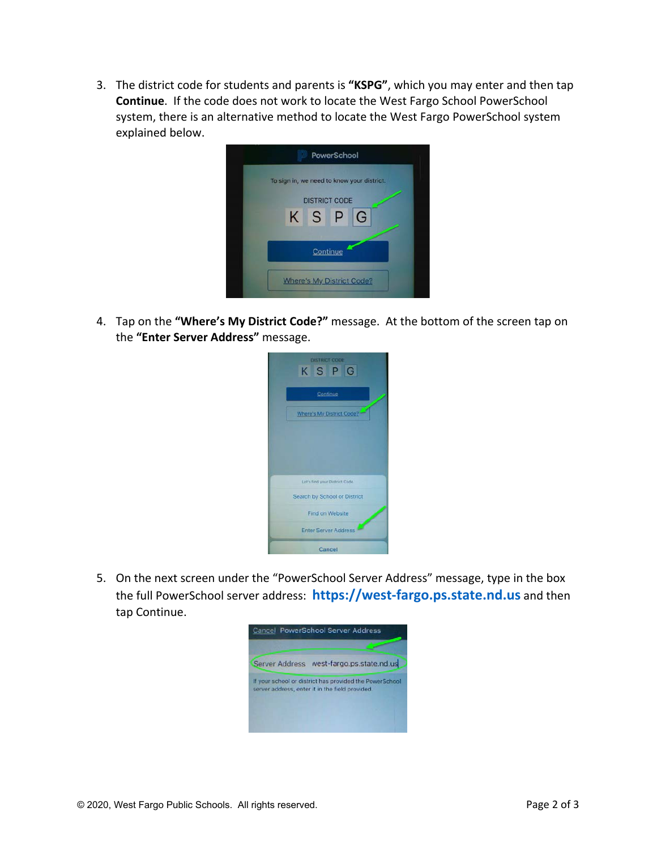3. The district code for students and parents is **"KSPG"**, which you may enter and then tap **Continue**. If the code does not work to locate the West Fargo School PowerSchool system, there is an alternative method to locate the West Fargo PowerSchool system explained below.



4. Tap on the **"Where's My District Code?"** message. At the bottom of the screen tap on the **"Enter Server Address"** message.



5. On the next screen under the "PowerSchool Server Address" message, type in the box the full PowerSchool server address: **https://west‐fargo.ps.state.nd.us** and then tap Continue.